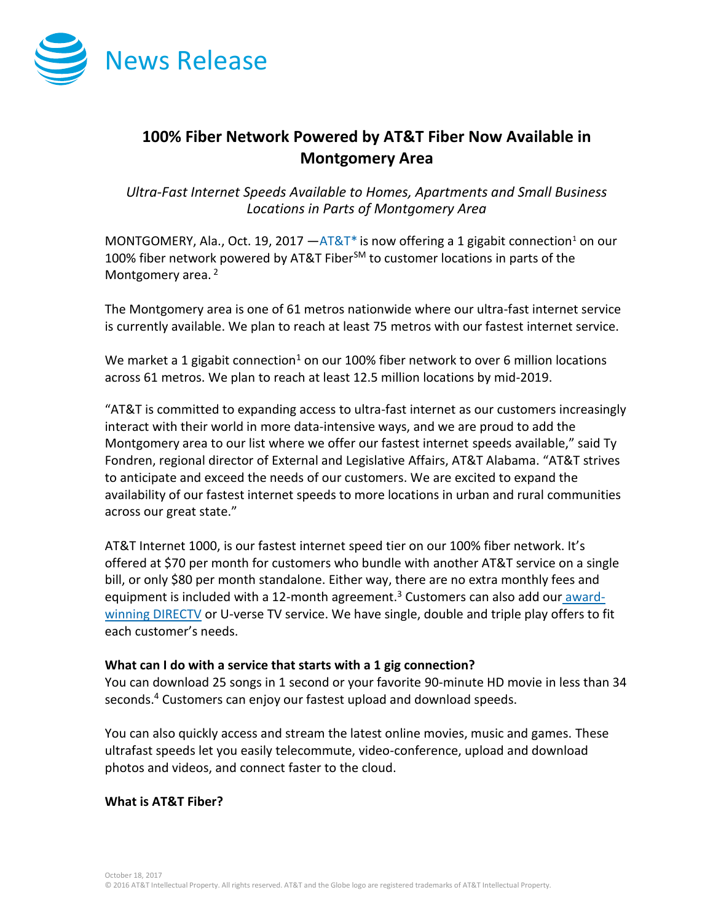

# **100% Fiber Network Powered by AT&T Fiber Now Available in Montgomery Area**

*Ultra-Fast Internet Speeds Available to Homes, Apartments and Small Business Locations in Parts of Montgomery Area* 

MONTGOMERY, Ala., Oct. 19, 2017  $-AT&T^*$  is now offering a 1 gigabit connection<sup>1</sup> on our 100% fiber network powered by AT&T Fiber<sup>SM</sup> to customer locations in parts of the Montgomery area.<sup>2</sup>

The Montgomery area is one of 61 metros nationwide where our ultra-fast internet service is currently available. We plan to reach at least 75 metros with our fastest internet service.

We market a 1 gigabit connection<sup>1</sup> on our 100% fiber network to over 6 million locations across 61 metros. We plan to reach at least 12.5 million locations by mid-2019.

"AT&T is committed to expanding access to ultra-fast internet as our customers increasingly interact with their world in more data-intensive ways, and we are proud to add the Montgomery area to our list where we offer our fastest internet speeds available," said Ty Fondren, regional director of External and Legislative Affairs, AT&T Alabama. "AT&T strives to anticipate and exceed the needs of our customers. We are excited to expand the availability of our fastest internet speeds to more locations in urban and rural communities across our great state."

AT&T Internet 1000, is our fastest internet speed tier on our 100% fiber network. It's offered at \$70 per month for customers who bundle with another AT&T service on a single bill, or only \$80 per month standalone. Either way, there are no extra monthly fees and equipment is included with a 12-month agreement.<sup>3</sup> Customers can also add our [award](http://www.directv.com/)[winning DIRECTV](http://www.directv.com/) or U-verse TV service. We have single, double and triple play offers to fit each customer's needs.

## **What can I do with a service that starts with a 1 gig connection?**

You can download 25 songs in 1 second or your favorite 90-minute HD movie in less than 34 seconds.<sup>4</sup> Customers can enjoy our fastest upload and download speeds.

You can also quickly access and stream the latest online movies, music and games. These ultrafast speeds let you easily telecommute, video-conference, upload and download photos and videos, and connect faster to the cloud.

## **What is AT&T Fiber?**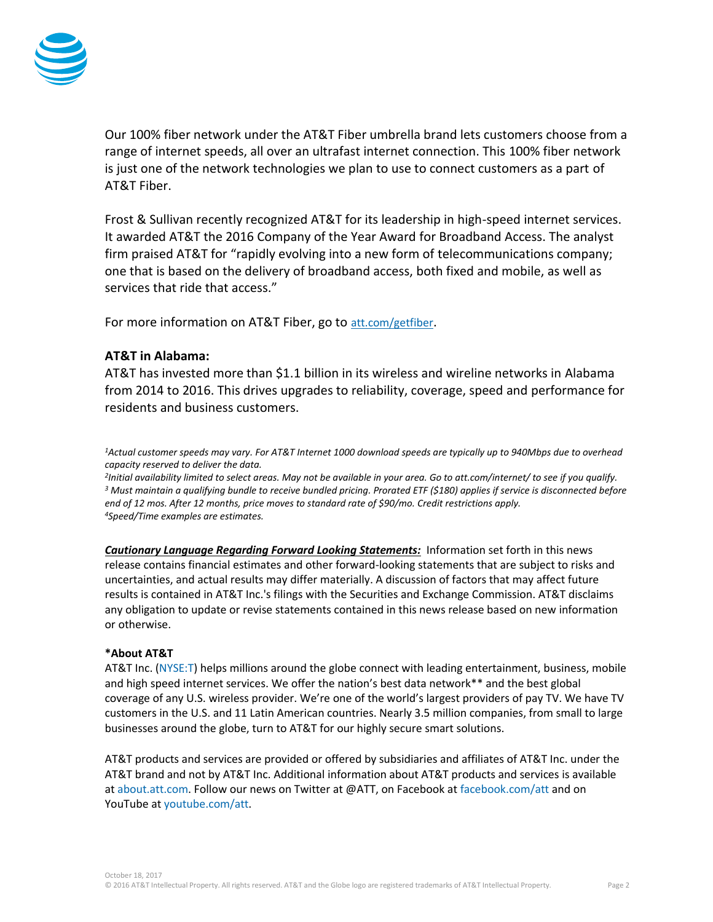

Our 100% fiber network under the AT&T Fiber umbrella brand lets customers choose from a range of internet speeds, all over an ultrafast internet connection. This 100% fiber network is just one of the network technologies we plan to use to connect customers as a part of AT&T Fiber.

Frost & Sullivan recently recognized AT&T for its leadership in high-speed internet services. It awarded AT&T the 2016 Company of the Year Award for Broadband Access. The analyst firm praised AT&T for "rapidly evolving into a new form of telecommunications company; one that is based on the delivery of broadband access, both fixed and mobile, as well as services that ride that access."

For more information on AT&T Fiber, go to [att.com/getfiber](https://www.att.com/internet/gigapowerfiber.html?source=ECtr0000000000GdD&wtExtndSource=getfiber).

## **AT&T in Alabama:**

AT&T has invested more than \$1.1 billion in its wireless and wireline networks in Alabama from 2014 to 2016. This drives upgrades to reliability, coverage, speed and performance for residents and business customers.

*<sup>1</sup>Actual customer speeds may vary. For AT&T Internet 1000 download speeds are typically up to 940Mbps due to overhead capacity reserved to deliver the data.*

 *Initial availability limited to select areas. May not be available in your area. Go to att.com/internet/ to see if you qualify. Must maintain a qualifying bundle to receive bundled pricing. Prorated ETF (\$180) applies if service is disconnected before end of 12 mos. After 12 months, price moves to standard rate of \$90/mo. Credit restrictions apply. Speed/Time examples are estimates.*

*Cautionary Language Regarding Forward Looking Statements:* Information set forth in this news release contains financial estimates and other forward-looking statements that are subject to risks and uncertainties, and actual results may differ materially. A discussion of factors that may affect future results is contained in AT&T Inc.'s filings with the Securities and Exchange Commission. AT&T disclaims any obligation to update or revise statements contained in this news release based on new information or otherwise.

### **\*About AT&T**

AT&T Inc. [\(NYSE:T\)](http://www.att.com/gen/landing-pages?pid=5718) helps millions around the globe connect with leading entertainment, business, mobile and high speed internet services. We offer the nation's best data network\*\* and the best global coverage of any U.S. wireless provider. We're one of the world's largest providers of pay TV. We have TV customers in the U.S. and 11 Latin American countries. Nearly 3.5 million companies, from small to large businesses around the globe, turn to AT&T for our highly secure smart solutions.

AT&T products and services are provided or offered by subsidiaries and affiliates of AT&T Inc. under the AT&T brand and not by AT&T Inc. Additional information about AT&T products and services is available at [about.att.com.](http://about.att.com/category/all_news.html) Follow our news on Twitter at @ATT, on Facebook at [facebook.com/att](http://www.facebook.com/att) and on YouTube at [youtube.com/att.](http://www.youtube.com/att)